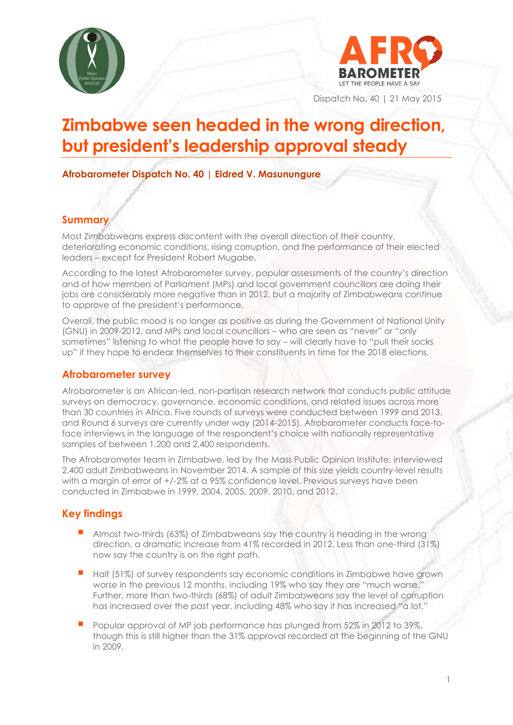



Dispatch No. 40 | 21 May 2015

# **Zimbabwe seen headed in the wrong direction, but president's leadership approval steady**

**Afrobarometer Dispatch No. 40 | Eldred V. Masunungure**

# **Summary**

Most Zimbabweans express discontent with the overall direction of their country, deteriorating economic conditions, rising corruption, and the performance of their elected leaders – except for President Robert Mugabe.

According to the latest Afrobarometer survey, popular assessments of the country's direction and of how members of Parliament (MPs) and local government councillors are doing their jobs are considerably more negative than in 2012, but a majority of Zimbabweans continue to approve of the president's performance.

Overall, the public mood is no longer as positive as during the Government of National Unity (GNU) in 2009-2012, and MPs and local councillors – who are seen as "never" or "only sometimes" listening to what the people have to say – will clearly have to "pull their socks up" if they hope to endear themselves to their constituents in time for the 2018 elections.

## **Afrobarometer survey**

Afrobarometer is an African-led, non-partisan research network that conducts public attitude surveys on democracy, governance, economic conditions, and related issues across more than 30 countries in Africa. Five rounds of surveys were conducted between 1999 and 2013, and Round 6 surveys are currently under way (2014-2015). Afrobarometer conducts face-toface interviews in the language of the respondent's choice with nationally representative samples of between 1,200 and 2,400 respondents.

The Afrobarometer team in Zimbabwe, led by the Mass Public Opinion Institute, interviewed 2,400 adult Zimbabweans in November 2014. A sample of this size yields country-level results with a margin of error of +/-2% at a 95% confidence level. Previous surveys have been conducted in Zimbabwe in 1999, 2004, 2005, 2009, 2010, and 2012.

# **Key findings**

- Almost two-thirds (63%) of Zimbabweans say the country is heading in the wrong direction, a dramatic increase from 41% recorded in 2012. Less than one-third (31%) now say the country is on the right path.
- Half (51%) of survey respondents say economic conditions in Zimbabwe have grown worse in the previous 12 months, including 19% who say they are "much worse." Further, more than two-thirds (68%) of adult Zimbabweans say the level of corruption has increased over the past year, including 48% who say it has increased "a lot."
- Popular approval of MP job performance has plunged from 52% in 2012 to 39%, though this is still higher than the 31% approval recorded at the beginning of the GNU in 2009.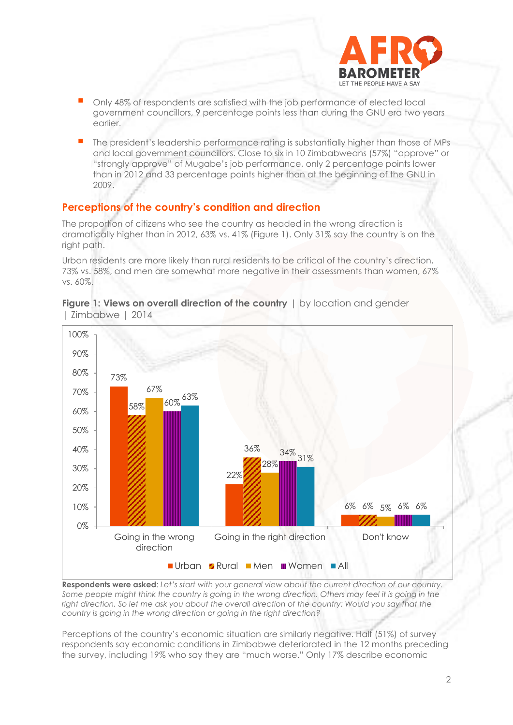

- Only 48% of respondents are satisfied with the job performance of elected local government councillors, 9 percentage points less than during the GNU era two years earlier.
- The president's leadership performance rating is substantially higher than those of MPs and local government councillors. Close to six in 10 Zimbabweans (57%) "approve" or "strongly approve" of Mugabe's job performance, only 2 percentage points lower than in 2012 and 33 percentage points higher than at the beginning of the GNU in 2009.

# **Perceptions of the country's condition and direction**

The proportion of citizens who see the country as headed in the wrong direction is dramatically higher than in 2012, 63% vs. 41% (Figure 1). Only 31% say the country is on the right path.

Urban residents are more likely than rural residents to be critical of the country's direction, 73% vs. 58%, and men are somewhat more negative in their assessments than women, 67% vs. 60%.



**Figure 1: Views on overall direction of the country**  $\vert$  by location and gender | Zimbabwe | 2014

**Respondents were asked**: *Let's start with your general view about the current direction of our country.*  Some people might think the country is going in the wrong direction. Others may feel it is going in the right direction. So let me ask you about the overall direction of the country: Would you say that the *country is going in the wrong direction or going in the right direction?*

Perceptions of the country's economic situation are similarly negative. Half (51%) of survey respondents say economic conditions in Zimbabwe deteriorated in the 12 months preceding the survey, including 19% who say they are "much worse." Only 17% describe economic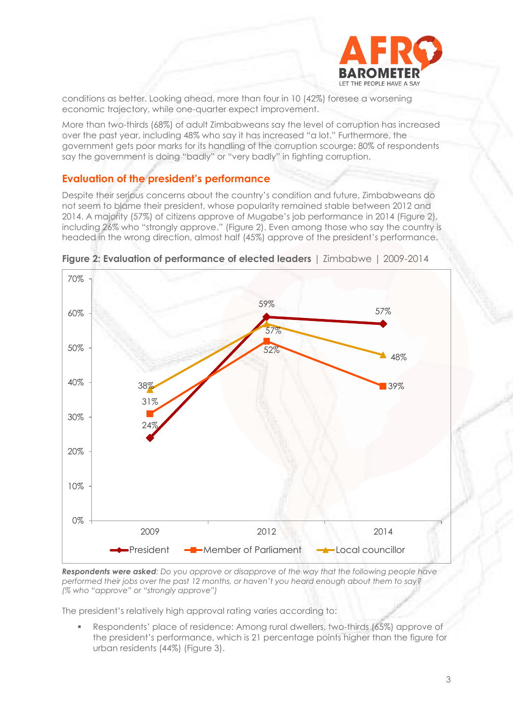

conditions as better. Looking ahead, more than four in 10 (42%) foresee a worsening economic trajectory, while one-quarter expect improvement.

More than two-thirds (68%) of adult Zimbabweans say the level of corruption has increased over the past year, including 48% who say it has increased "a lot." Furthermore, the government gets poor marks for its handling of the corruption scourge: 80% of respondents say the government is doing "badly" or "very badly" in fighting corruption.

#### **Evaluation of the president's performance**

Despite their serious concerns about the country's condition and future, Zimbabweans do not seem to blame their president, whose popularity remained stable between 2012 and 2014. A majority (57%) of citizens approve of Mugabe's job performance in 2014 (Figure 2), including 26% who "strongly approve." (Figure 2). Even among those who say the country is headed in the wrong direction, almost half (45%) approve of the president's performance.



**Figure 2: Evaluation of performance of elected leaders** I Zimbabwe | 2009-2014

*Respondents were asked: Do you approve or disapprove of the way that the following people have performed their jobs over the past 12 months, or haven't you heard enough about them to say? (% who "approve" or "strongly approve")*

The president's relatively high approval rating varies according to:

 Respondents' place of residence: Among rural dwellers, two-thirds (65%) approve of the president's performance, which is 21 percentage points higher than the figure for urban residents (44%) (Figure 3).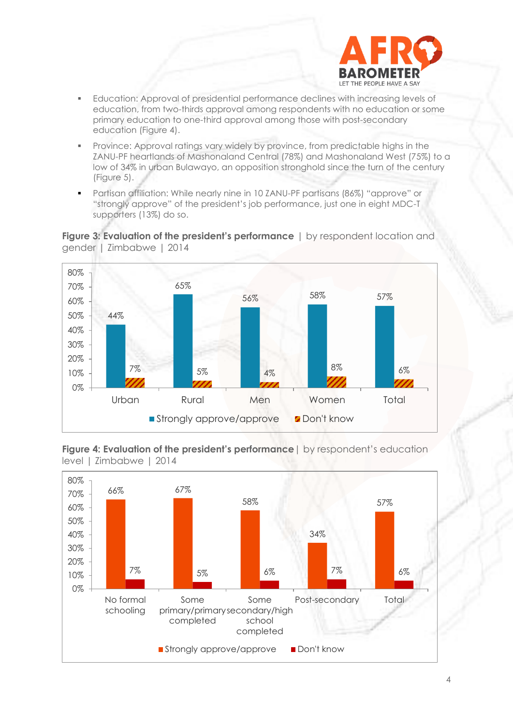

- Education: Approval of presidential performance declines with increasing levels of education, from two-thirds approval among respondents with no education or some primary education to one-third approval among those with post-secondary education (Figure 4).
- Province: Approval ratings vary widely by province, from predictable highs in the ZANU-PF heartlands of Mashonaland Central (78%) and Mashonaland West (75%) to a low of 34% in urban Bulawayo, an opposition stronghold since the turn of the century (Figure 5).
- Partisan affiliation: While nearly nine in 10 ZANU-PF partisans (86%) "approve" or "strongly approve" of the president's job performance, just one in eight MDC-T supporters (13%) do so.





**Figure 4: Evaluation of the president's performance** | by respondent's education level | Zimbabwe | 2014

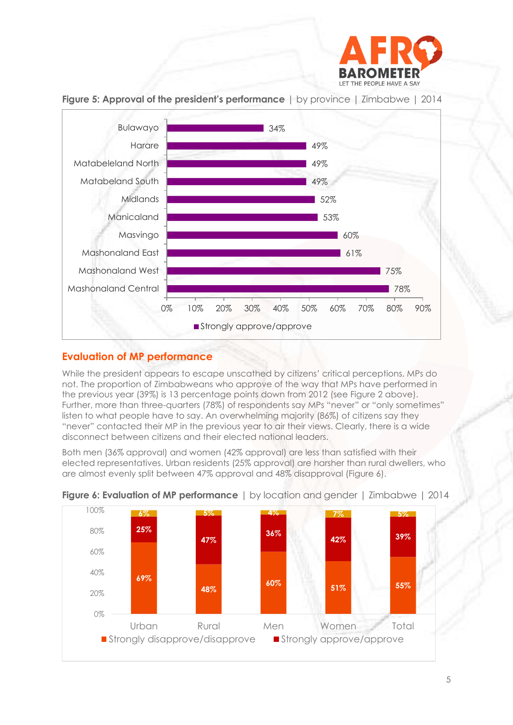



**Figure 5: Approval of the president's performance** | by province | Zimbabwe | 2014

# **Evaluation of MP performance**

While the president appears to escape unscathed by citizens' critical perceptions, MPs do not. The proportion of Zimbabweans who approve of the way that MPs have performed in the previous year (39%) is 13 percentage points down from 2012 (see Figure 2 above). Further, more than three-quarters (78%) of respondents say MPs "never" or "only sometimes" listen to what people have to say. An overwhelming majority (86%) of citizens say they "never" contacted their MP in the previous year to air their views. Clearly, there is a wide disconnect between citizens and their elected national leaders.

Both men (36% approval) and women (42% approval) are less than satisfied with their elected representatives. Urban residents (25% approval) are harsher than rural dwellers, who are almost evenly split between 47% approval and 48% disapproval (Figure 6).



## **Figure 6: Evaluation of MP performance** | by location and gender | Zimbabwe | 2014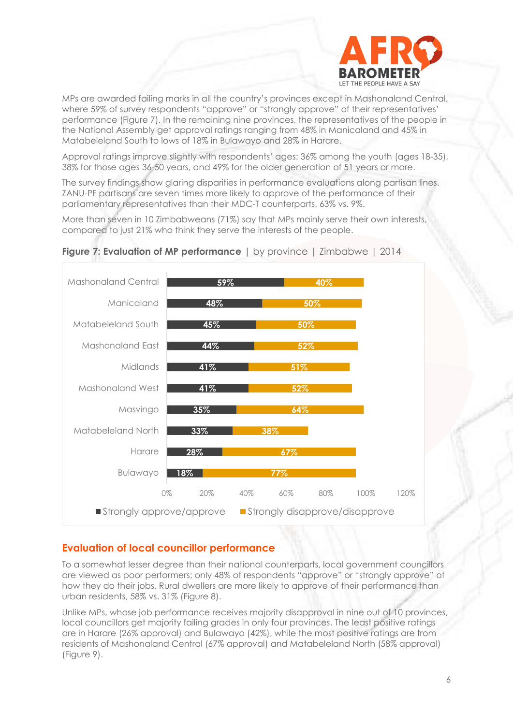

MPs are awarded failing marks in all the country's provinces except in Mashonaland Central, where 59% of survey respondents "approve" or "strongly approve" of their representatives' performance (Figure 7). In the remaining nine provinces, the representatives of the people in the National Assembly get approval ratings ranging from 48% in Manicaland and 45% in Matabeleland South to lows of 18% in Bulawayo and 28% in Harare.

Approval ratings improve slightly with respondents' ages: 36% among the youth (ages 18-35), 38% for those ages 36-50 years, and 49% for the older generation of 51 years or more.

The survey findings show glaring disparities in performance evaluations along partisan lines. ZANU-PF partisans are seven times more likely to approve of the performance of their parliamentary representatives than their MDC-T counterparts, 63% vs. 9%.

More than seven in 10 Zimbabweans (71%) say that MPs mainly serve their own interests, compared to just 21% who think they serve the interests of the people.



#### **Figure 7: Evaluation of MP performance** | by province | Zimbabwe | 2014

## **Evaluation of local councillor performance**

To a somewhat lesser degree than their national counterparts, local government councillors are viewed as poor performers; only 48% of respondents "approve" or "strongly approve" of how they do their jobs. Rural dwellers are more likely to approve of their performance than urban residents, 58% vs. 31% (Figure 8).

Unlike MPs, whose job performance receives majority disapproval in nine out of 10 provinces, local councillors get majority failing grades in only four provinces. The least positive ratings are in Harare (26% approval) and Bulawayo (42%), while the most positive ratings are from residents of Mashonaland Central (67% approval) and Matabeleland North (58% approval) (Figure 9).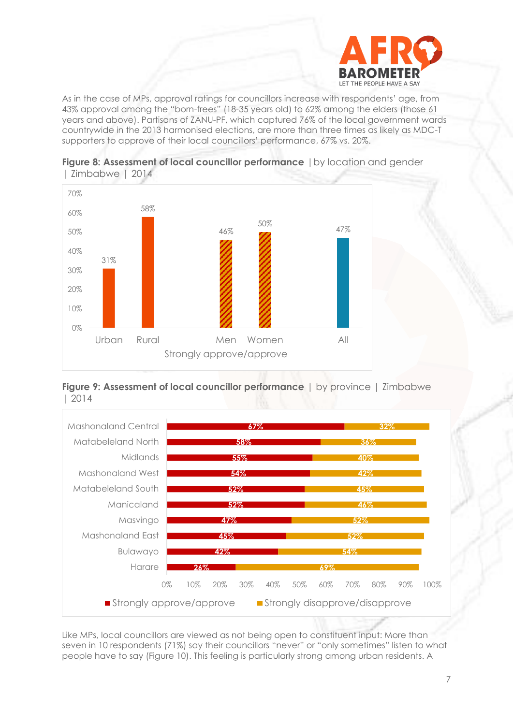

As in the case of MPs, approval ratings for councillors increase with respondents' age, from 43% approval among the "born-frees" (18-35 years old) to 62% among the elders (those 61 years and above). Partisans of ZANU-PF, which captured 76% of the local government wards countrywide in the 2013 harmonised elections, are more than three times as likely as MDC-T supporters to approve of their local councillors' performance, 67% vs. 20%.



**Figure 8: Assessment of local councillor performance** | by location and gender | Zimbabwe | 2014





Like MPs, local councillors are viewed as not being open to constituent input: More than seven in 10 respondents (71%) say their councillors "never" or "only sometimes" listen to what people have to say (Figure 10). This feeling is particularly strong among urban residents. A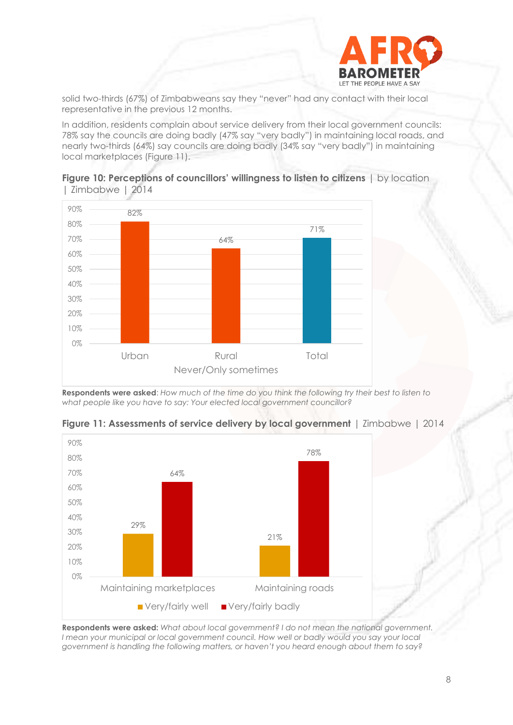

solid two-thirds (67%) of Zimbabweans say they "never" had any contact with their local representative in the previous 12 months.

In addition, residents complain about service delivery from their local government councils: 78% say the councils are doing badly (47% say "very badly") in maintaining local roads, and nearly two-thirds (64%) say councils are doing badly (34% say "very badly") in maintaining local marketplaces (Figure 11).





**Respondents were asked**: *How much of the time do you think the following try their best to listen to what people like you have to say: Your elected local government councillor?* 



**Figure 11: Assessments of service delivery by local government** | Zimbabwe | 2014

**Respondents were asked:** *What about local government? I do not mean the national government.*  I mean your municipal or local government council. How well or badly would you say your local *government is handling the following matters, or haven't you heard enough about them to say?*